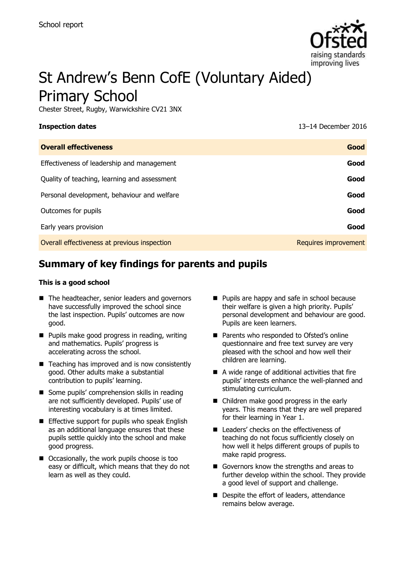

# St Andrew's Benn CofE (Voluntary Aided) Primary School

Chester Street, Rugby, Warwickshire CV21 3NX

**Inspection dates** 13–14 December 2016

| <b>Overall effectiveness</b>                 | Good                 |
|----------------------------------------------|----------------------|
| Effectiveness of leadership and management   | Good                 |
| Quality of teaching, learning and assessment | Good                 |
| Personal development, behaviour and welfare  | Good                 |
| Outcomes for pupils                          | Good                 |
| Early years provision                        | Good                 |
| Overall effectiveness at previous inspection | Requires improvement |
|                                              |                      |

# **Summary of key findings for parents and pupils**

#### **This is a good school**

- The headteacher, senior leaders and governors have successfully improved the school since the last inspection. Pupils' outcomes are now good.
- **Pupils make good progress in reading, writing** and mathematics. Pupils' progress is accelerating across the school.
- Teaching has improved and is now consistently good. Other adults make a substantial contribution to pupils' learning.
- Some pupils' comprehension skills in reading are not sufficiently developed. Pupils' use of interesting vocabulary is at times limited.
- $\blacksquare$  Effective support for pupils who speak English as an additional language ensures that these pupils settle quickly into the school and make good progress.
- Occasionally, the work pupils choose is too easy or difficult, which means that they do not learn as well as they could.
- **Pupils are happy and safe in school because** their welfare is given a high priority. Pupils' personal development and behaviour are good. Pupils are keen learners.
- Parents who responded to Ofsted's online questionnaire and free text survey are very pleased with the school and how well their children are learning.
- A wide range of additional activities that fire pupils' interests enhance the well-planned and stimulating curriculum.
- Children make good progress in the early years. This means that they are well prepared for their learning in Year 1.
- Leaders' checks on the effectiveness of teaching do not focus sufficiently closely on how well it helps different groups of pupils to make rapid progress.
- Governors know the strengths and areas to further develop within the school. They provide a good level of support and challenge.
- Despite the effort of leaders, attendance remains below average.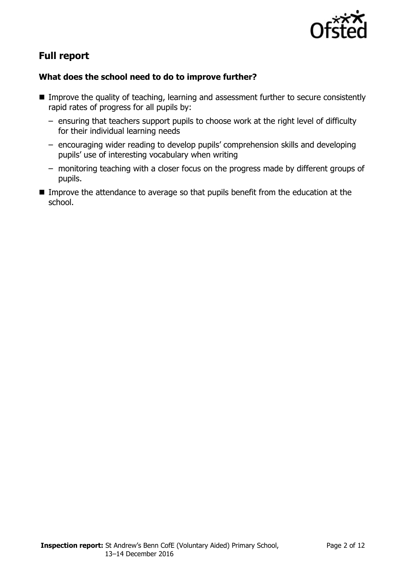

# **Full report**

### **What does the school need to do to improve further?**

- **IMPROVE the quality of teaching, learning and assessment further to secure consistently** rapid rates of progress for all pupils by:
	- ensuring that teachers support pupils to choose work at the right level of difficulty for their individual learning needs
	- encouraging wider reading to develop pupils' comprehension skills and developing pupils' use of interesting vocabulary when writing
	- monitoring teaching with a closer focus on the progress made by different groups of pupils.
- Improve the attendance to average so that pupils benefit from the education at the school.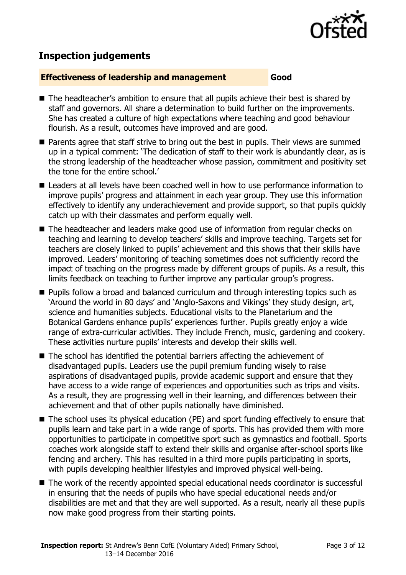

## **Inspection judgements**

#### **Effectiveness of leadership and management Good**

- The headteacher's ambition to ensure that all pupils achieve their best is shared by staff and governors. All share a determination to build further on the improvements. She has created a culture of high expectations where teaching and good behaviour flourish. As a result, outcomes have improved and are good.
- Parents agree that staff strive to bring out the best in pupils. Their views are summed up in a typical comment: 'The dedication of staff to their work is abundantly clear, as is the strong leadership of the headteacher whose passion, commitment and positivity set the tone for the entire school.'
- Leaders at all levels have been coached well in how to use performance information to improve pupils' progress and attainment in each year group. They use this information effectively to identify any underachievement and provide support, so that pupils quickly catch up with their classmates and perform equally well.
- The headteacher and leaders make good use of information from regular checks on teaching and learning to develop teachers' skills and improve teaching. Targets set for teachers are closely linked to pupils' achievement and this shows that their skills have improved. Leaders' monitoring of teaching sometimes does not sufficiently record the impact of teaching on the progress made by different groups of pupils. As a result, this limits feedback on teaching to further improve any particular group's progress.
- **Pupils follow a broad and balanced curriculum and through interesting topics such as** 'Around the world in 80 days' and 'Anglo-Saxons and Vikings' they study design, art, science and humanities subjects. Educational visits to the Planetarium and the Botanical Gardens enhance pupils' experiences further. Pupils greatly enjoy a wide range of extra-curricular activities. They include French, music, gardening and cookery. These activities nurture pupils' interests and develop their skills well.
- The school has identified the potential barriers affecting the achievement of disadvantaged pupils. Leaders use the pupil premium funding wisely to raise aspirations of disadvantaged pupils, provide academic support and ensure that they have access to a wide range of experiences and opportunities such as trips and visits. As a result, they are progressing well in their learning, and differences between their achievement and that of other pupils nationally have diminished.
- The school uses its physical education (PE) and sport funding effectively to ensure that pupils learn and take part in a wide range of sports. This has provided them with more opportunities to participate in competitive sport such as gymnastics and football. Sports coaches work alongside staff to extend their skills and organise after-school sports like fencing and archery. This has resulted in a third more pupils participating in sports, with pupils developing healthier lifestyles and improved physical well-being.
- The work of the recently appointed special educational needs coordinator is successful in ensuring that the needs of pupils who have special educational needs and/or disabilities are met and that they are well supported. As a result, nearly all these pupils now make good progress from their starting points.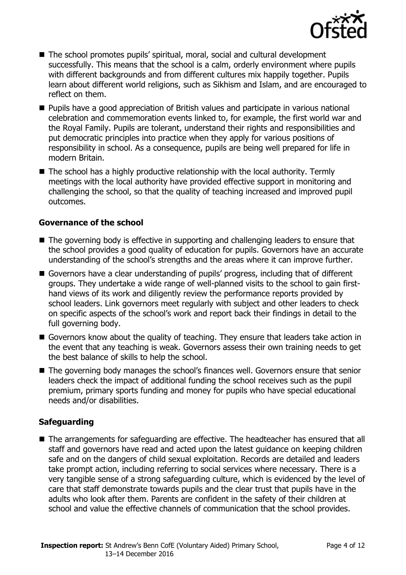

- The school promotes pupils' spiritual, moral, social and cultural development successfully. This means that the school is a calm, orderly environment where pupils with different backgrounds and from different cultures mix happily together. Pupils learn about different world religions, such as Sikhism and Islam, and are encouraged to reflect on them.
- **Pupils have a good appreciation of British values and participate in various national** celebration and commemoration events linked to, for example, the first world war and the Royal Family. Pupils are tolerant, understand their rights and responsibilities and put democratic principles into practice when they apply for various positions of responsibility in school. As a consequence, pupils are being well prepared for life in modern Britain.
- $\blacksquare$  The school has a highly productive relationship with the local authority. Termly meetings with the local authority have provided effective support in monitoring and challenging the school, so that the quality of teaching increased and improved pupil outcomes.

#### **Governance of the school**

- The governing body is effective in supporting and challenging leaders to ensure that the school provides a good quality of education for pupils. Governors have an accurate understanding of the school's strengths and the areas where it can improve further.
- Governors have a clear understanding of pupils' progress, including that of different groups. They undertake a wide range of well-planned visits to the school to gain firsthand views of its work and diligently review the performance reports provided by school leaders. Link governors meet regularly with subject and other leaders to check on specific aspects of the school's work and report back their findings in detail to the full governing body.
- Governors know about the quality of teaching. They ensure that leaders take action in the event that any teaching is weak. Governors assess their own training needs to get the best balance of skills to help the school.
- The governing body manages the school's finances well. Governors ensure that senior leaders check the impact of additional funding the school receives such as the pupil premium, primary sports funding and money for pupils who have special educational needs and/or disabilities.

### **Safeguarding**

■ The arrangements for safeguarding are effective. The headteacher has ensured that all staff and governors have read and acted upon the latest guidance on keeping children safe and on the dangers of child sexual exploitation. Records are detailed and leaders take prompt action, including referring to social services where necessary. There is a very tangible sense of a strong safeguarding culture, which is evidenced by the level of care that staff demonstrate towards pupils and the clear trust that pupils have in the adults who look after them. Parents are confident in the safety of their children at school and value the effective channels of communication that the school provides.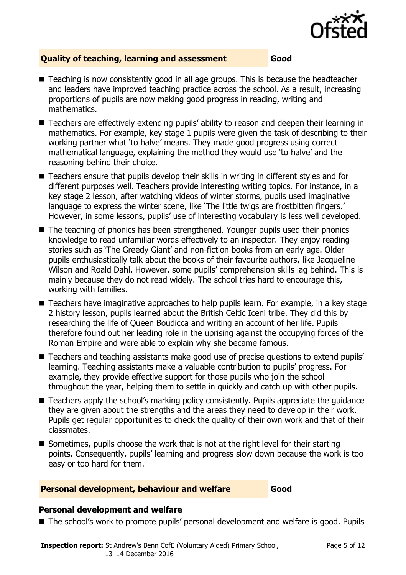

#### **Quality of teaching, learning and assessment Good**

- Teaching is now consistently good in all age groups. This is because the headteacher and leaders have improved teaching practice across the school. As a result, increasing proportions of pupils are now making good progress in reading, writing and mathematics.
- Teachers are effectively extending pupils' ability to reason and deepen their learning in mathematics. For example, key stage 1 pupils were given the task of describing to their working partner what 'to halve' means. They made good progress using correct mathematical language, explaining the method they would use 'to halve' and the reasoning behind their choice.
- Teachers ensure that pupils develop their skills in writing in different styles and for different purposes well. Teachers provide interesting writing topics. For instance, in a key stage 2 lesson, after watching videos of winter storms, pupils used imaginative language to express the winter scene, like 'The little twigs are frostbitten fingers.' However, in some lessons, pupils' use of interesting vocabulary is less well developed.
- The teaching of phonics has been strengthened. Younger pupils used their phonics knowledge to read unfamiliar words effectively to an inspector. They enjoy reading stories such as 'The Greedy Giant' and non-fiction books from an early age. Older pupils enthusiastically talk about the books of their favourite authors, like Jacqueline Wilson and Roald Dahl. However, some pupils' comprehension skills lag behind. This is mainly because they do not read widely. The school tries hard to encourage this, working with families.
- Teachers have imaginative approaches to help pupils learn. For example, in a key stage 2 history lesson, pupils learned about the British Celtic Iceni tribe. They did this by researching the life of Queen Boudicca and writing an account of her life. Pupils therefore found out her leading role in the uprising against the occupying forces of the Roman Empire and were able to explain why she became famous.
- Teachers and teaching assistants make good use of precise questions to extend pupils' learning. Teaching assistants make a valuable contribution to pupils' progress. For example, they provide effective support for those pupils who join the school throughout the year, helping them to settle in quickly and catch up with other pupils.
- Teachers apply the school's marking policy consistently. Pupils appreciate the guidance they are given about the strengths and the areas they need to develop in their work. Pupils get regular opportunities to check the quality of their own work and that of their classmates.
- Sometimes, pupils choose the work that is not at the right level for their starting points. Consequently, pupils' learning and progress slow down because the work is too easy or too hard for them.

#### **Personal development, behaviour and welfare Good**

#### **Personal development and welfare**

■ The school's work to promote pupils' personal development and welfare is good. Pupils

**Inspection report:** St Andrew's Benn CofE (Voluntary Aided) Primary School, 13–14 December 2016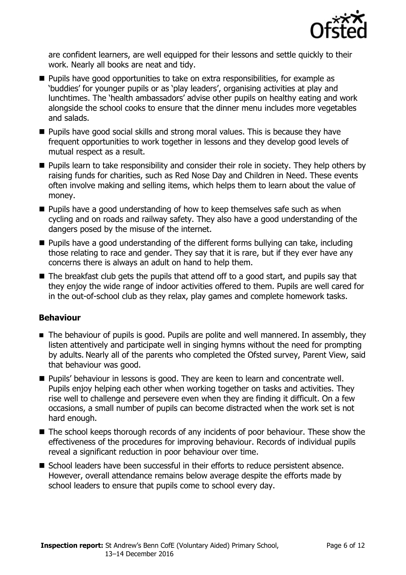

are confident learners, are well equipped for their lessons and settle quickly to their work. Nearly all books are neat and tidy.

- **Pupils have good opportunities to take on extra responsibilities, for example as** 'buddies' for younger pupils or as 'play leaders', organising activities at play and lunchtimes. The 'health ambassadors' advise other pupils on healthy eating and work alongside the school cooks to ensure that the dinner menu includes more vegetables and salads.
- **Pupils have good social skills and strong moral values. This is because they have** frequent opportunities to work together in lessons and they develop good levels of mutual respect as a result.
- **Pupils learn to take responsibility and consider their role in society. They help others by** raising funds for charities, such as Red Nose Day and Children in Need. These events often involve making and selling items, which helps them to learn about the value of money.
- **Pupils have a good understanding of how to keep themselves safe such as when** cycling and on roads and railway safety. They also have a good understanding of the dangers posed by the misuse of the internet.
- Pupils have a good understanding of the different forms bullying can take, including those relating to race and gender. They say that it is rare, but if they ever have any concerns there is always an adult on hand to help them.
- $\blacksquare$  The breakfast club gets the pupils that attend off to a good start, and pupils say that they enjoy the wide range of indoor activities offered to them. Pupils are well cared for in the out-of-school club as they relax, play games and complete homework tasks.

### **Behaviour**

- The behaviour of pupils is good. Pupils are polite and well mannered. In assembly, they listen attentively and participate well in singing hymns without the need for prompting by adults. Nearly all of the parents who completed the Ofsted survey, Parent View, said that behaviour was good.
- **Pupils' behaviour in lessons is good. They are keen to learn and concentrate well.** Pupils enjoy helping each other when working together on tasks and activities. They rise well to challenge and persevere even when they are finding it difficult. On a few occasions, a small number of pupils can become distracted when the work set is not hard enough.
- The school keeps thorough records of any incidents of poor behaviour. These show the effectiveness of the procedures for improving behaviour. Records of individual pupils reveal a significant reduction in poor behaviour over time.
- School leaders have been successful in their efforts to reduce persistent absence. However, overall attendance remains below average despite the efforts made by school leaders to ensure that pupils come to school every day.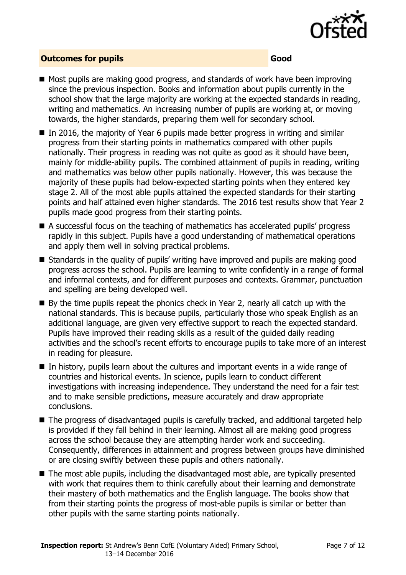

#### **Outcomes for pupils Good**

- Most pupils are making good progress, and standards of work have been improving since the previous inspection. Books and information about pupils currently in the school show that the large majority are working at the expected standards in reading, writing and mathematics. An increasing number of pupils are working at, or moving towards, the higher standards, preparing them well for secondary school.
- In 2016, the majority of Year 6 pupils made better progress in writing and similar progress from their starting points in mathematics compared with other pupils nationally. Their progress in reading was not quite as good as it should have been, mainly for middle-ability pupils. The combined attainment of pupils in reading, writing and mathematics was below other pupils nationally. However, this was because the majority of these pupils had below-expected starting points when they entered key stage 2. All of the most able pupils attained the expected standards for their starting points and half attained even higher standards. The 2016 test results show that Year 2 pupils made good progress from their starting points.
- A successful focus on the teaching of mathematics has accelerated pupils' progress rapidly in this subject. Pupils have a good understanding of mathematical operations and apply them well in solving practical problems.
- Standards in the quality of pupils' writing have improved and pupils are making good progress across the school. Pupils are learning to write confidently in a range of formal and informal contexts, and for different purposes and contexts. Grammar, punctuation and spelling are being developed well.
- $\blacksquare$  By the time pupils repeat the phonics check in Year 2, nearly all catch up with the national standards. This is because pupils, particularly those who speak English as an additional language, are given very effective support to reach the expected standard. Pupils have improved their reading skills as a result of the guided daily reading activities and the school's recent efforts to encourage pupils to take more of an interest in reading for pleasure.
- In history, pupils learn about the cultures and important events in a wide range of countries and historical events. In science, pupils learn to conduct different investigations with increasing independence. They understand the need for a fair test and to make sensible predictions, measure accurately and draw appropriate conclusions.
- The progress of disadvantaged pupils is carefully tracked, and additional targeted help is provided if they fall behind in their learning. Almost all are making good progress across the school because they are attempting harder work and succeeding. Consequently, differences in attainment and progress between groups have diminished or are closing swiftly between these pupils and others nationally.
- The most able pupils, including the disadvantaged most able, are typically presented with work that requires them to think carefully about their learning and demonstrate their mastery of both mathematics and the English language. The books show that from their starting points the progress of most-able pupils is similar or better than other pupils with the same starting points nationally.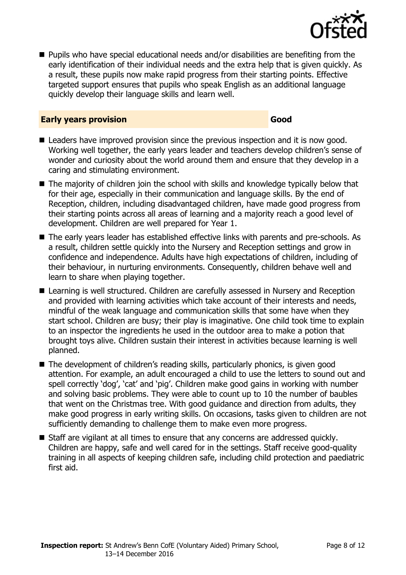

■ Pupils who have special educational needs and/or disabilities are benefiting from the early identification of their individual needs and the extra help that is given quickly. As a result, these pupils now make rapid progress from their starting points. Effective targeted support ensures that pupils who speak English as an additional language quickly develop their language skills and learn well.

#### **Early years provision Good Good**

- Leaders have improved provision since the previous inspection and it is now good. Working well together, the early years leader and teachers develop children's sense of wonder and curiosity about the world around them and ensure that they develop in a caring and stimulating environment.
- The majority of children join the school with skills and knowledge typically below that for their age, especially in their communication and language skills. By the end of Reception, children, including disadvantaged children, have made good progress from their starting points across all areas of learning and a majority reach a good level of development. Children are well prepared for Year 1.
- The early years leader has established effective links with parents and pre-schools. As a result, children settle quickly into the Nursery and Reception settings and grow in confidence and independence. Adults have high expectations of children, including of their behaviour, in nurturing environments. Consequently, children behave well and learn to share when playing together.
- Learning is well structured. Children are carefully assessed in Nursery and Reception and provided with learning activities which take account of their interests and needs, mindful of the weak language and communication skills that some have when they start school. Children are busy; their play is imaginative. One child took time to explain to an inspector the ingredients he used in the outdoor area to make a potion that brought toys alive. Children sustain their interest in activities because learning is well planned.
- The development of children's reading skills, particularly phonics, is given good attention. For example, an adult encouraged a child to use the letters to sound out and spell correctly 'dog', 'cat' and 'pig'. Children make good gains in working with number and solving basic problems. They were able to count up to 10 the number of baubles that went on the Christmas tree. With good guidance and direction from adults, they make good progress in early writing skills. On occasions, tasks given to children are not sufficiently demanding to challenge them to make even more progress.
- Staff are vigilant at all times to ensure that any concerns are addressed quickly. Children are happy, safe and well cared for in the settings. Staff receive good-quality training in all aspects of keeping children safe, including child protection and paediatric first aid.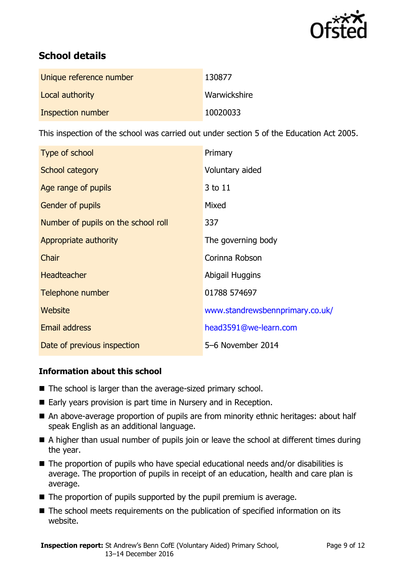

# **School details**

| Unique reference number | 130877       |
|-------------------------|--------------|
| Local authority         | Warwickshire |
| Inspection number       | 10020033     |

This inspection of the school was carried out under section 5 of the Education Act 2005.

| Type of school                      | Primary                         |
|-------------------------------------|---------------------------------|
| School category                     | Voluntary aided                 |
| Age range of pupils                 | 3 to 11                         |
| Gender of pupils                    | Mixed                           |
| Number of pupils on the school roll | 337                             |
| Appropriate authority               | The governing body              |
| Chair                               | Corinna Robson                  |
| <b>Headteacher</b>                  | Abigail Huggins                 |
| Telephone number                    | 01788 574697                    |
| Website                             | www.standrewsbennprimary.co.uk/ |
| <b>Email address</b>                | head3591@we-learn.com           |
| Date of previous inspection         | 5-6 November 2014               |

### **Information about this school**

- The school is larger than the average-sized primary school.
- Early years provision is part time in Nursery and in Reception.
- An above-average proportion of pupils are from minority ethnic heritages: about half speak English as an additional language.
- A higher than usual number of pupils join or leave the school at different times during the year.
- The proportion of pupils who have special educational needs and/or disabilities is average. The proportion of pupils in receipt of an education, health and care plan is average.
- $\blacksquare$  The proportion of pupils supported by the pupil premium is average.
- The school meets requirements on the publication of specified information on its website.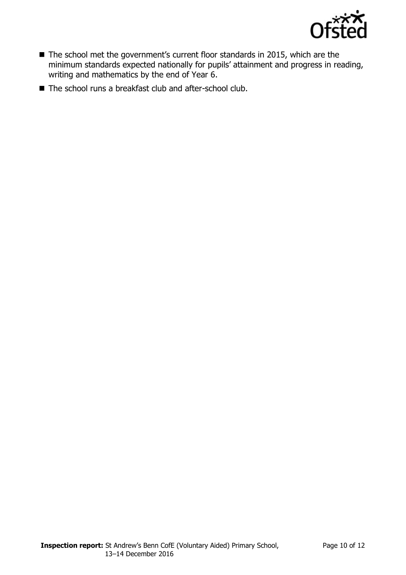

- The school met the government's current floor standards in 2015, which are the minimum standards expected nationally for pupils' attainment and progress in reading, writing and mathematics by the end of Year 6.
- The school runs a breakfast club and after-school club.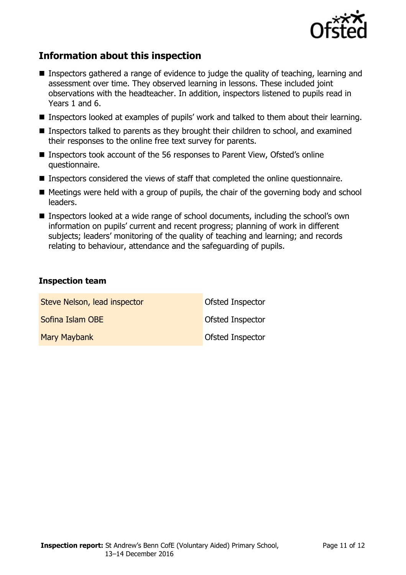

# **Information about this inspection**

- Inspectors gathered a range of evidence to judge the quality of teaching, learning and assessment over time. They observed learning in lessons. These included joint observations with the headteacher. In addition, inspectors listened to pupils read in Years 1 and 6.
- Inspectors looked at examples of pupils' work and talked to them about their learning.
- Inspectors talked to parents as they brought their children to school, and examined their responses to the online free text survey for parents.
- Inspectors took account of the 56 responses to Parent View, Ofsted's online questionnaire.
- Inspectors considered the views of staff that completed the online questionnaire.
- $\blacksquare$  Meetings were held with a group of pupils, the chair of the governing body and school leaders.
- Inspectors looked at a wide range of school documents, including the school's own information on pupils' current and recent progress; planning of work in different subjects; leaders' monitoring of the quality of teaching and learning; and records relating to behaviour, attendance and the safeguarding of pupils.

#### **Inspection team**

| Steve Nelson, lead inspector | Ofsted Inspector        |
|------------------------------|-------------------------|
| Sofina Islam OBE             | <b>Ofsted Inspector</b> |
| <b>Mary Maybank</b>          | <b>Ofsted Inspector</b> |